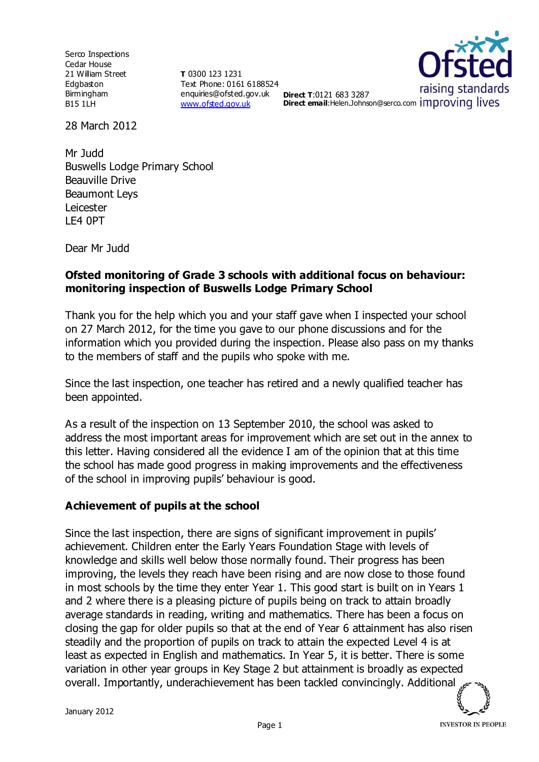Serco Inspections Cedar House 21 William Street Edgbaston Birmingham B15 1LH

**T** 0300 123 1231 Text Phone: 0161 6188524 enquiries@ofsted.gov.uk **Direct T**:0121 683 3287 [www.ofsted.gov.uk](http://www.ofsted.gov.uk/)



28 March 2012

Mr Judd Buswells Lodge Primary School Beauville Drive Beaumont Leys Leicester LE4 0PT

Dear Mr Judd

#### **Ofsted monitoring of Grade 3 schools with additional focus on behaviour: monitoring inspection of Buswells Lodge Primary School**

Thank you for the help which you and your staff gave when I inspected your school on 27 March 2012, for the time you gave to our phone discussions and for the information which you provided during the inspection. Please also pass on my thanks to the members of staff and the pupils who spoke with me.

Since the last inspection, one teacher has retired and a newly qualified teacher has been appointed.

As a result of the inspection on 13 September 2010, the school was asked to address the most important areas for improvement which are set out in the annex to this letter. Having considered all the evidence I am of the opinion that at this time the school has made good progress in making improvements and the effectiveness of the school in improving pupils' behaviour is good.

#### **Achievement of pupils at the school**

Since the last inspection, there are signs of significant improvement in pupils' achievement. Children enter the Early Years Foundation Stage with levels of knowledge and skills well below those normally found. Their progress has been improving, the levels they reach have been rising and are now close to those found in most schools by the time they enter Year 1. This good start is built on in Years 1 and 2 where there is a pleasing picture of pupils being on track to attain broadly average standards in reading, writing and mathematics. There has been a focus on closing the gap for older pupils so that at the end of Year 6 attainment has also risen steadily and the proportion of pupils on track to attain the expected Level 4 is at least as expected in English and mathematics. In Year 5, it is better. There is some variation in other year groups in Key Stage 2 but attainment is broadly as expected overall. Importantly, underachievement has been tackled convincingly. Additional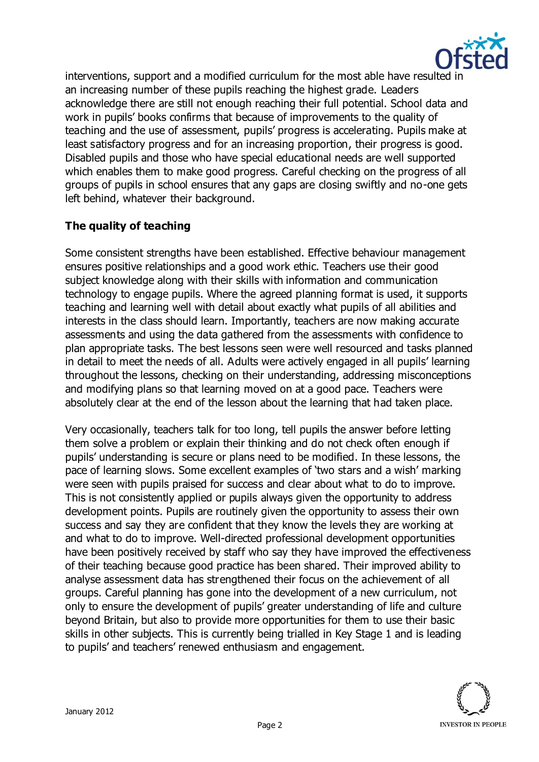

interventions, support and a modified curriculum for the most able have resulted in an increasing number of these pupils reaching the highest grade. Leaders acknowledge there are still not enough reaching their full potential. School data and work in pupils' books confirms that because of improvements to the quality of teaching and the use of assessment, pupils' progress is accelerating. Pupils make at least satisfactory progress and for an increasing proportion, their progress is good. Disabled pupils and those who have special educational needs are well supported which enables them to make good progress. Careful checking on the progress of all groups of pupils in school ensures that any gaps are closing swiftly and no-one gets left behind, whatever their background.

## **The quality of teaching**

Some consistent strengths have been established. Effective behaviour management ensures positive relationships and a good work ethic. Teachers use their good subject knowledge along with their skills with information and communication technology to engage pupils. Where the agreed planning format is used, it supports teaching and learning well with detail about exactly what pupils of all abilities and interests in the class should learn. Importantly, teachers are now making accurate assessments and using the data gathered from the assessments with confidence to plan appropriate tasks. The best lessons seen were well resourced and tasks planned in detail to meet the needs of all. Adults were actively engaged in all pupils' learning throughout the lessons, checking on their understanding, addressing misconceptions and modifying plans so that learning moved on at a good pace. Teachers were absolutely clear at the end of the lesson about the learning that had taken place.

Very occasionally, teachers talk for too long, tell pupils the answer before letting them solve a problem or explain their thinking and do not check often enough if pupils' understanding is secure or plans need to be modified. In these lessons, the pace of learning slows. Some excellent examples of 'two stars and a wish' marking were seen with pupils praised for success and clear about what to do to improve. This is not consistently applied or pupils always given the opportunity to address development points. Pupils are routinely given the opportunity to assess their own success and say they are confident that they know the levels they are working at and what to do to improve. Well-directed professional development opportunities have been positively received by staff who say they have improved the effectiveness of their teaching because good practice has been shared. Their improved ability to analyse assessment data has strengthened their focus on the achievement of all groups. Careful planning has gone into the development of a new curriculum, not only to ensure the development of pupils' greater understanding of life and culture beyond Britain, but also to provide more opportunities for them to use their basic skills in other subjects. This is currently being trialled in Key Stage 1 and is leading to pupils' and teachers' renewed enthusiasm and engagement.

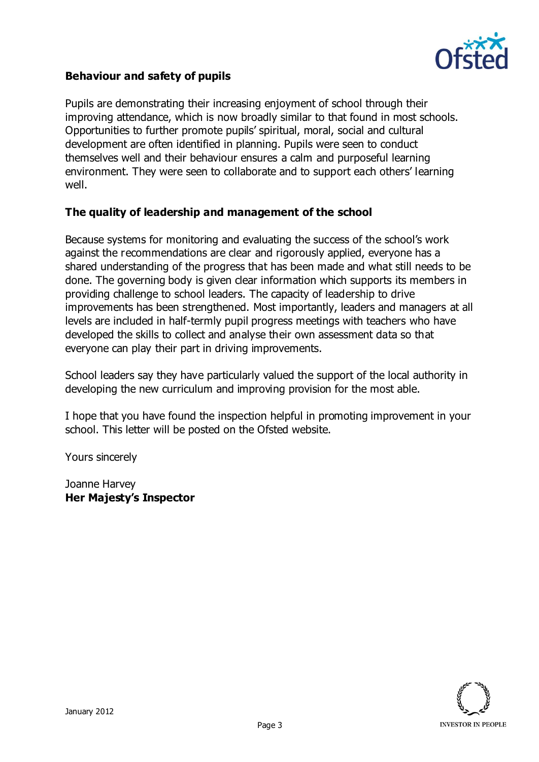

#### **Behaviour and safety of pupils**

Pupils are demonstrating their increasing enjoyment of school through their improving attendance, which is now broadly similar to that found in most schools. Opportunities to further promote pupils' spiritual, moral, social and cultural development are often identified in planning. Pupils were seen to conduct themselves well and their behaviour ensures a calm and purposeful learning environment. They were seen to collaborate and to support each others' learning well.

#### **The quality of leadership and management of the school**

Because systems for monitoring and evaluating the success of the school's work against the recommendations are clear and rigorously applied, everyone has a shared understanding of the progress that has been made and what still needs to be done. The governing body is given clear information which supports its members in providing challenge to school leaders. The capacity of leadership to drive improvements has been strengthened. Most importantly, leaders and managers at all levels are included in half-termly pupil progress meetings with teachers who have developed the skills to collect and analyse their own assessment data so that everyone can play their part in driving improvements.

School leaders say they have particularly valued the support of the local authority in developing the new curriculum and improving provision for the most able.

I hope that you have found the inspection helpful in promoting improvement in your school. This letter will be posted on the Ofsted website.

Yours sincerely

Joanne Harvey **Her Majesty's Inspector**